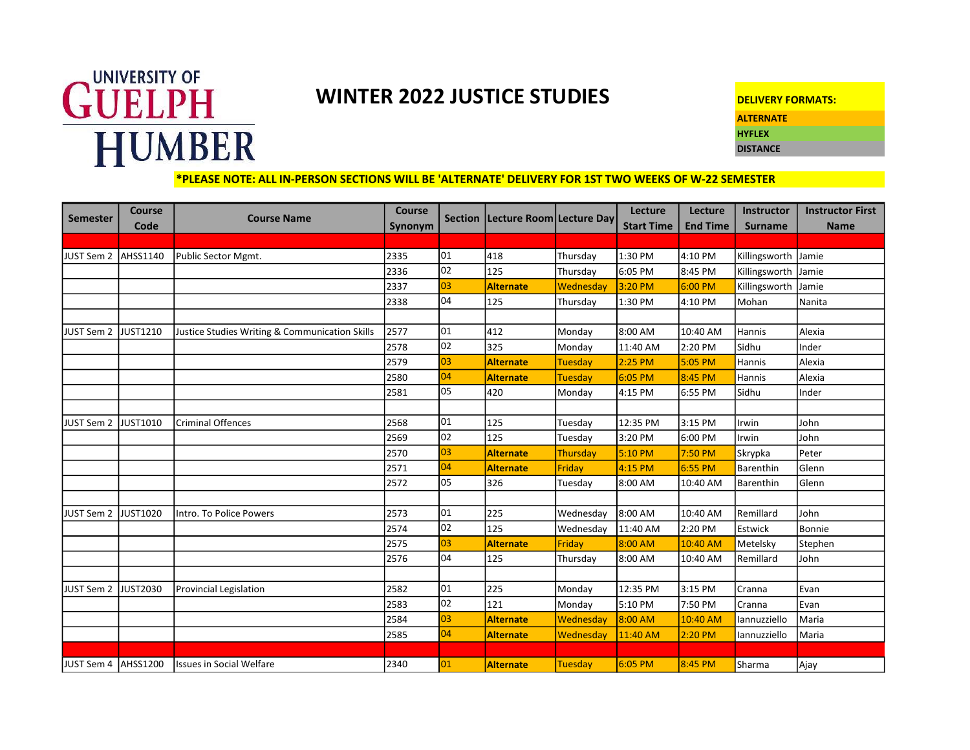

## WINTER 2022 JUSTICE STUDIES

| <b>DELIVERY FORMATS:</b> |
|--------------------------|
| <b>ALTERNATE</b>         |
| <b>HYFLEX</b>            |
| <b>DISTANCE</b>          |
|                          |

## \*PLEASE NOTE: ALL IN-PERSON SECTIONS WILL BE 'ALTERNATE' DELIVERY FOR 1ST TWO WEEKS OF W-22 SEMESTER

| <b>Semester</b>     | <b>Course</b>   | <b>Course Name</b>                             | Course  | <b>Section</b> | Lecture Room Lecture Day |                | Lecture           | Lecture         | Instructor     | <b>Instructor First</b> |
|---------------------|-----------------|------------------------------------------------|---------|----------------|--------------------------|----------------|-------------------|-----------------|----------------|-------------------------|
|                     | Code            |                                                | Synonym |                |                          |                | <b>Start Time</b> | <b>End Time</b> | <b>Surname</b> | <b>Name</b>             |
| JUST Sem 2          | AHSS1140        | Public Sector Mgmt.                            | 2335    | 01             | 418                      | Thursday       | 1:30 PM           | 4:10 PM         | Killingsworth  | Jamie                   |
|                     |                 |                                                | 2336    | 02             | 125                      | Thursday       | 6:05 PM           | 8:45 PM         | Killingsworth  | Jamie                   |
|                     |                 |                                                | 2337    | 03             | <b>Alternate</b>         | Wednesday      | 3:20 PM           | 6:00 PM         | Killingsworth  | Jamie                   |
|                     |                 |                                                | 2338    | 04             | 125                      | Thursday       | 1:30 PM           | 4:10 PM         | Mohan          | Nanita                  |
|                     |                 |                                                |         |                |                          |                |                   |                 |                |                         |
| JUST Sem 2          | <b>JUST1210</b> | Justice Studies Writing & Communication Skills | 2577    | 01             | 412                      | Monday         | 8:00 AM           | 10:40 AM        | Hannis         | Alexia                  |
|                     |                 |                                                | 2578    | 02             | 325                      | Monday         | 11:40 AM          | 2:20 PM         | Sidhu          | Inder                   |
|                     |                 |                                                | 2579    | 03             | <b>Alternate</b>         | <b>Tuesday</b> | $2:25$ PM         | 5:05 PM         | Hannis         | Alexia                  |
|                     |                 |                                                | 2580    | 04             | <b>Alternate</b>         | Tuesday        | 6:05 PM           | 8:45 PM         | Hannis         | Alexia                  |
|                     |                 |                                                | 2581    | 05             | 420                      | Monday         | 4:15 PM           | 6:55 PM         | Sidhu          | Inder                   |
|                     |                 |                                                |         |                |                          |                |                   |                 |                |                         |
| JUST Sem 2          | JUST1010        | <b>Criminal Offences</b>                       | 2568    | 01             | 125                      | Tuesday        | 12:35 PM          | 3:15 PM         | Irwin          | John                    |
|                     |                 |                                                | 2569    | 02             | 125                      | Tuesday        | 3:20 PM           | 6:00 PM         | Irwin          | John                    |
|                     |                 |                                                | 2570    | 03             | <b>Alternate</b>         | Thursday       | $5:10$ PM         | 7:50 PM         | Skrypka        | Peter                   |
|                     |                 |                                                | 2571    | 04             | <b>Alternate</b>         | Friday         | 4:15 PM           | 6:55 PM         | Barenthin      | Glenn                   |
|                     |                 |                                                | 2572    | 05             | 326                      | Tuesday        | 8:00 AM           | 10:40 AM        | Barenthin      | Glenn                   |
|                     |                 |                                                |         |                |                          |                |                   |                 |                |                         |
| JUST Sem 2          | JUST1020        | Intro. To Police Powers                        | 2573    | 01             | 225                      | Wednesday      | 8:00 AM           | 10:40 AM        | Remillard      | John                    |
|                     |                 |                                                | 2574    | 02             | 125                      | Wednesday      | 11:40 AM          | 2:20 PM         | Estwick        | Bonnie                  |
|                     |                 |                                                | 2575    | 03             | <b>Alternate</b>         | Friday         | 8:00 AM           | 10:40 AM        | Metelsky       | Stephen                 |
|                     |                 |                                                | 2576    | 04             | 125                      | Thursday       | 8:00 AM           | 10:40 AM        | Remillard      | John                    |
|                     |                 |                                                |         |                |                          |                |                   |                 |                |                         |
| JUST Sem 2          | <b>JUST2030</b> | <b>Provincial Legislation</b>                  | 2582    | 01             | 225                      | Monday         | 12:35 PM          | 3:15 PM         | Cranna         | Evan                    |
|                     |                 |                                                | 2583    | 02             | 121                      | Monday         | 5:10 PM           | 7:50 PM         | Cranna         | Evan                    |
|                     |                 |                                                | 2584    | 03             | <b>Alternate</b>         | Wednesday      | 8:00 AM           | 10:40 AM        | lannuzziello   | Maria                   |
|                     |                 |                                                | 2585    | 04             | Alternate                | Wednesday      | 11:40 AM          | $2:20$ PM       | lannuzziello   | Maria                   |
|                     |                 |                                                |         |                |                          |                |                   |                 |                |                         |
| JUST Sem 4 AHSS1200 |                 | <b>Issues in Social Welfare</b>                | 2340    | 01             | <b>Alternate</b>         | Tuesday        | $6:05$ PM         | 8:45 PM         | Sharma         | Ajay                    |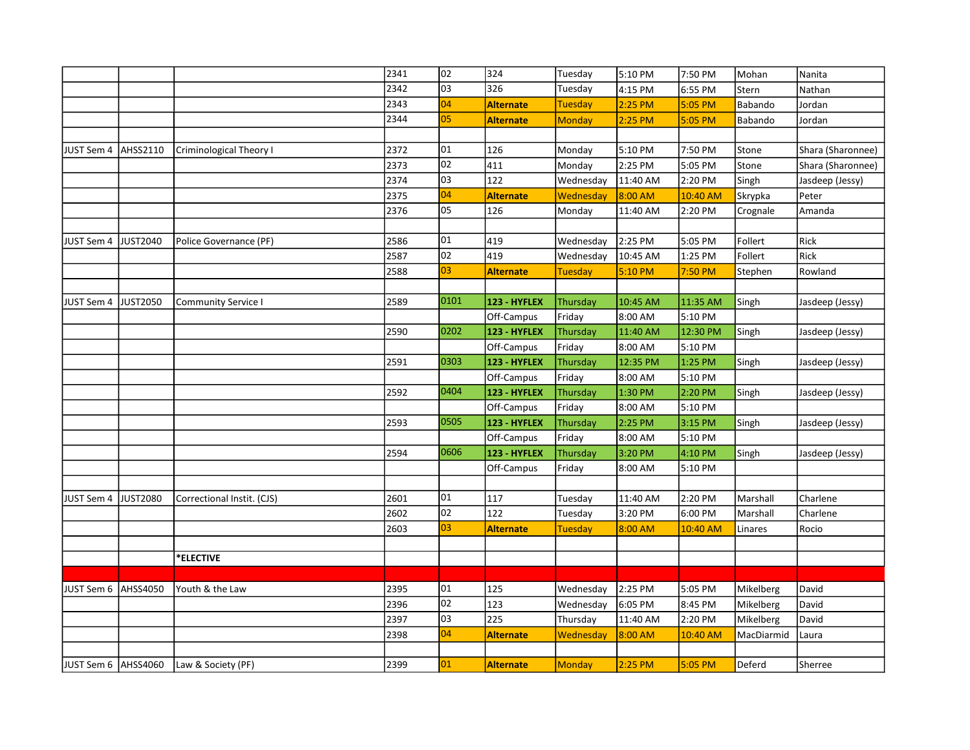|                       |                 |                            | 2341 | 02              | 324              | Tuesday        | 5:10 PM   | 7:50 PM   | Mohan      | Nanita            |
|-----------------------|-----------------|----------------------------|------|-----------------|------------------|----------------|-----------|-----------|------------|-------------------|
|                       |                 |                            | 2342 | $\overline{03}$ | 326              | Tuesday        | 4:15 PM   | 6:55 PM   | Stern      | Nathan            |
|                       |                 |                            | 2343 | 04              | <b>Alternate</b> | Tuesday        | 2:25 PM   | 5:05 PM   | Babando    | Jordan            |
|                       |                 |                            | 2344 | $\overline{05}$ | <b>Alternate</b> | <b>Monday</b>  | 2:25 PM   | 5:05 PM   | Babando    | Jordan            |
|                       |                 |                            |      |                 |                  |                |           |           |            |                   |
| <b>JUST Sem 4</b>     | AHSS2110        | Criminological Theory I    | 2372 | 01              | 126              | Monday         | 5:10 PM   | 7:50 PM   | Stone      | Shara (Sharonnee) |
|                       |                 |                            | 2373 | 02              | 411              | Monday         | 2:25 PM   | 5:05 PM   | Stone      | Shara (Sharonnee) |
|                       |                 |                            | 2374 | 03              | 122              | Wednesday      | 11:40 AM  | 2:20 PM   | Singh      | Jasdeep (Jessy)   |
|                       |                 |                            | 2375 | 04              | <b>Alternate</b> | Wednesday      | 8:00 AM   | 10:40 AM  | Skrypka    | Peter             |
|                       |                 |                            | 2376 | 05              | 126              | Monday         | 11:40 AM  | 2:20 PM   | Crognale   | Amanda            |
|                       |                 |                            |      |                 |                  |                |           |           |            |                   |
| JUST Sem 4            | JUST2040        | Police Governance (PF)     | 2586 | 01              | 419              | Wednesday      | 2:25 PM   | 5:05 PM   | Follert    | Rick              |
|                       |                 |                            | 2587 | 02              | 419              | Wednesday      | 10:45 AM  | 1:25 PM   | Follert    | Rick              |
|                       |                 |                            | 2588 | $\overline{03}$ | <b>Alternate</b> | <b>Tuesday</b> | 5:10 PM   | 7:50 PM   | Stephen    | Rowland           |
|                       |                 |                            |      |                 |                  |                |           |           |            |                   |
| JUST Sem 4            | JUST2050        | <b>Community Service I</b> | 2589 | 0101            | 123 - HYFLEX     | Thursday       | 10:45 AM  | 11:35 AM  | Singh      | Jasdeep (Jessy)   |
|                       |                 |                            |      |                 | Off-Campus       | Friday         | 8:00 AM   | 5:10 PM   |            |                   |
|                       |                 |                            | 2590 | 0202            | 123 - HYFLEX     | Thursday       | 11:40 AM  | 12:30 PM  | Singh      | Jasdeep (Jessy)   |
|                       |                 |                            |      |                 | Off-Campus       | Friday         | 8:00 AM   | 5:10 PM   |            |                   |
|                       |                 |                            | 2591 | 0303            | 123 - HYFLEX     | Thursday       | 12:35 PM  | 1:25 PM   | Singh      | Jasdeep (Jessy)   |
|                       |                 |                            |      |                 | Off-Campus       | Friday         | 8:00 AM   | 5:10 PM   |            |                   |
|                       |                 |                            | 2592 | 0404            | 123 - HYFLEX     | Thursday       | 1:30 PM   | 2:20 PM   | Singh      | Jasdeep (Jessy)   |
|                       |                 |                            |      |                 | Off-Campus       | Friday         | 8:00 AM   | 5:10 PM   |            |                   |
|                       |                 |                            | 2593 | 0505            | 123 - HYFLEX     | Thursday       | 2:25 PM   | $3:15$ PM | Singh      | Jasdeep (Jessy)   |
|                       |                 |                            |      |                 | Off-Campus       | Friday         | 8:00 AM   | 5:10 PM   |            |                   |
|                       |                 |                            | 2594 | 0606            | 123 - HYFLEX     | Thursday       | 3:20 PM   | 4:10 PM   | Singh      | Jasdeep (Jessy)   |
|                       |                 |                            |      |                 | Off-Campus       | Friday         | 8:00 AM   | 5:10 PM   |            |                   |
|                       |                 |                            |      |                 |                  |                |           |           |            |                   |
| JUST Sem 4            | <b>JUST2080</b> | Correctional Instit. (CJS) | 2601 | 01              | 117              | Tuesday        | 11:40 AM  | 2:20 PM   | Marshall   | Charlene          |
|                       |                 |                            | 2602 | 02              | 122              | Tuesday        | 3:20 PM   | 6:00 PM   | Marshall   | Charlene          |
|                       |                 |                            | 2603 | 03              | <b>Alternate</b> | Tuesday        | $8:00$ AM | 10:40 AM  | Linares    | Rocio             |
|                       |                 |                            |      |                 |                  |                |           |           |            |                   |
|                       |                 | *ELECTIVE                  |      |                 |                  |                |           |           |            |                   |
|                       |                 |                            |      |                 |                  |                |           |           |            |                   |
| JUST Sem 6            | <b>AHSS4050</b> | Youth & the Law            | 2395 | 01              | 125              | Wednesday      | 2:25 PM   | 5:05 PM   | Mikelberg  | David             |
|                       |                 |                            | 2396 | 02              | 123              | Wednesday      | 6:05 PM   | 8:45 PM   | Mikelberg  | David             |
|                       |                 |                            | 2397 | 03              | 225              | Thursday       | 11:40 AM  | 2:20 PM   | Mikelberg  | David             |
|                       |                 |                            | 2398 | 04              | <b>Alternate</b> | Wednesday      | 8:00 AM   | 10:40 AM  | MacDiarmid | Laura             |
|                       |                 |                            |      |                 |                  |                |           |           |            |                   |
| JUST Sem 6   AHSS4060 |                 | Law & Society (PF)         | 2399 | 01              | <b>Alternate</b> | <b>Monday</b>  | 2:25 PM   | $5:05$ PM | Deferd     | Sherree           |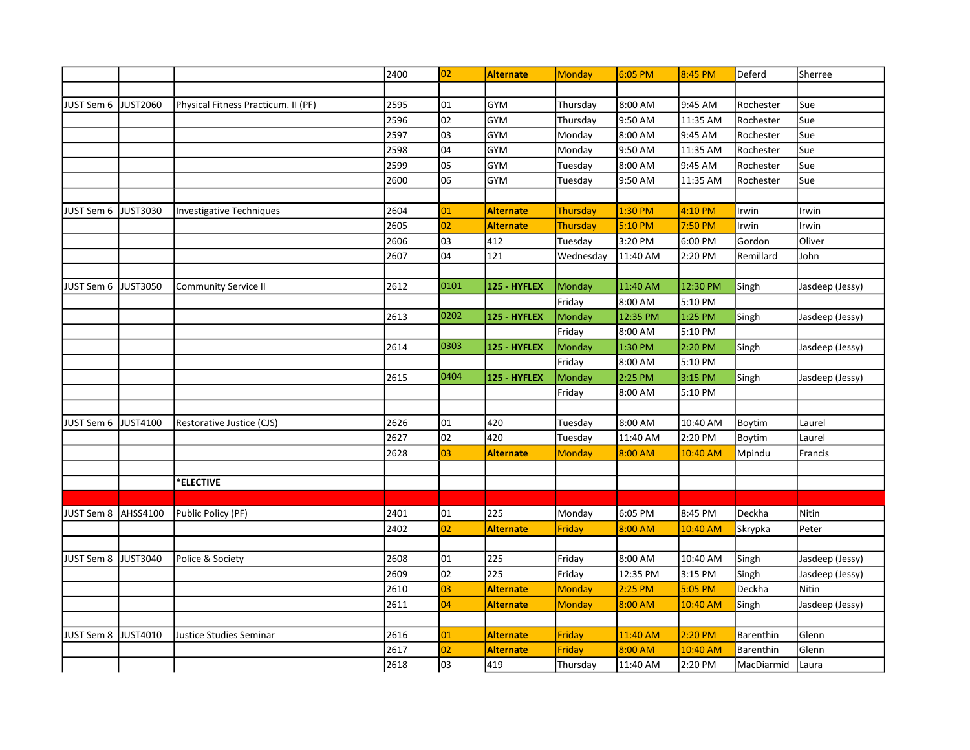|                   |                 |                                     | 2400 | 02   | <b>Alternate</b> | Monday        | $6:05$ PM | 8:45 PM  | Deferd     | Sherree         |
|-------------------|-----------------|-------------------------------------|------|------|------------------|---------------|-----------|----------|------------|-----------------|
|                   |                 |                                     |      |      |                  |               |           |          |            |                 |
| JUST Sem 6        | <b>JUST2060</b> | Physical Fitness Practicum. II (PF) | 2595 | 01   | <b>GYM</b>       | Thursday      | 8:00 AM   | 9:45 AM  | Rochester  | Sue             |
|                   |                 |                                     | 2596 | 02   | <b>GYM</b>       | Thursday      | 9:50 AM   | 11:35 AM | Rochester  | Sue             |
|                   |                 |                                     | 2597 | 03   | <b>GYM</b>       | Monday        | 8:00 AM   | 9:45 AM  | Rochester  | Sue             |
|                   |                 |                                     | 2598 | 04   | <b>GYM</b>       | Monday        | 9:50 AM   | 11:35 AM | Rochester  | Sue             |
|                   |                 |                                     | 2599 | 05   | <b>GYM</b>       | Tuesday       | 8:00 AM   | 9:45 AM  | Rochester  | Sue             |
|                   |                 |                                     | 2600 | 06   | GYM              | Tuesday       | 9:50 AM   | 11:35 AM | Rochester  | Sue             |
|                   |                 |                                     |      |      |                  |               |           |          |            |                 |
| JUST Sem 6        | JUST3030        | <b>Investigative Techniques</b>     | 2604 | 01   | <b>Alternate</b> | Thursday      | 1:30 PM   | 4:10 PM  | Irwin      | Irwin           |
|                   |                 |                                     | 2605 | 02   | <b>Alternate</b> | Thursday      | 5:10 PM   | 7:50 PM  | Irwin      | Irwin           |
|                   |                 |                                     | 2606 | 03   | 412              | Tuesday       | 3:20 PM   | 6:00 PM  | Gordon     | Oliver          |
|                   |                 |                                     | 2607 | 04   | 121              | Wednesday     | 11:40 AM  | 2:20 PM  | Remillard  | John            |
|                   |                 |                                     |      |      |                  |               |           |          |            |                 |
| JUST Sem 6        | <b>JUST3050</b> | <b>Community Service II</b>         | 2612 | 0101 | 125 - HYFLEX     | Monday        | 11:40 AM  | 12:30 PM | Singh      | Jasdeep (Jessy) |
|                   |                 |                                     |      |      |                  | Friday        | 8:00 AM   | 5:10 PM  |            |                 |
|                   |                 |                                     | 2613 | 0202 | 125 - HYFLEX     | Monday        | 12:35 PM  | 1:25 PM  | Singh      | Jasdeep (Jessy) |
|                   |                 |                                     |      |      |                  | Friday        | 8:00 AM   | 5:10 PM  |            |                 |
|                   |                 |                                     | 2614 | 0303 | 125 - HYFLEX     | Monday        | 1:30 PM   | 2:20 PM  | Singh      | Jasdeep (Jessy) |
|                   |                 |                                     |      |      |                  | Friday        | 8:00 AM   | 5:10 PM  |            |                 |
|                   |                 |                                     | 2615 | 0404 | 125 - HYFLEX     | Monday        | 2:25 PM   | 3:15 PM  | Singh      | Jasdeep (Jessy) |
|                   |                 |                                     |      |      |                  | Friday        | 8:00 AM   | 5:10 PM  |            |                 |
|                   |                 |                                     |      |      |                  |               |           |          |            |                 |
| JUST Sem 6        | JUST4100        | Restorative Justice (CJS)           | 2626 | 01   | 420              | Tuesday       | 8:00 AM   | 10:40 AM | Boytim     | Laurel          |
|                   |                 |                                     | 2627 | 02   | 420              | Tuesday       | 11:40 AM  | 2:20 PM  | Boytim     | Laurel          |
|                   |                 |                                     | 2628 | 03   | <b>Alternate</b> | <b>Monday</b> | 8:00 AM   | 10:40 AM | Mpindu     | Francis         |
|                   |                 |                                     |      |      |                  |               |           |          |            |                 |
|                   |                 | *ELECTIVE                           |      |      |                  |               |           |          |            |                 |
|                   |                 |                                     |      |      |                  |               |           |          |            |                 |
| JUST Sem 8        | AHSS4100        | Public Policy (PF)                  | 2401 | 01   | 225              | Monday        | 6:05 PM   | 8:45 PM  | Deckha     | Nitin           |
|                   |                 |                                     | 2402 | 02   | <b>Alternate</b> | Friday        | 8:00 AM   | 10:40 AM | Skrypka    | Peter           |
|                   |                 |                                     |      |      |                  |               |           |          |            |                 |
| JUST Sem 8        | JUST3040        | Police & Society                    | 2608 | 01   | 225              | Friday        | 8:00 AM   | 10:40 AM | Singh      | Jasdeep (Jessy) |
|                   |                 |                                     | 2609 | 02   | 225              | Friday        | 12:35 PM  | 3:15 PM  | Singh      | Jasdeep (Jessy) |
|                   |                 |                                     | 2610 | 03   | Alternate        | Monday        | $2:25$ PM | 5:05 PM  | Deckha     | Nitin           |
|                   |                 |                                     | 2611 | 04   | <b>Alternate</b> | Monday        | 8:00 AM   | 10:40 AM | Singh      | Jasdeep (Jessy) |
|                   |                 |                                     |      |      |                  |               |           |          |            |                 |
| <b>JUST Sem 8</b> | <b>JUST4010</b> | Justice Studies Seminar             | 2616 | 01   | <b>Alternate</b> | Friday        | 11:40 AM  | 2:20 PM  | Barenthin  | Glenn           |
|                   |                 |                                     | 2617 | 02   | <b>Alternate</b> | Friday        | 8:00 AM   | 10:40 AM | Barenthin  | Glenn           |
|                   |                 |                                     | 2618 | 03   | 419              | Thursday      | 11:40 AM  | 2:20 PM  | MacDiarmid | Laura           |